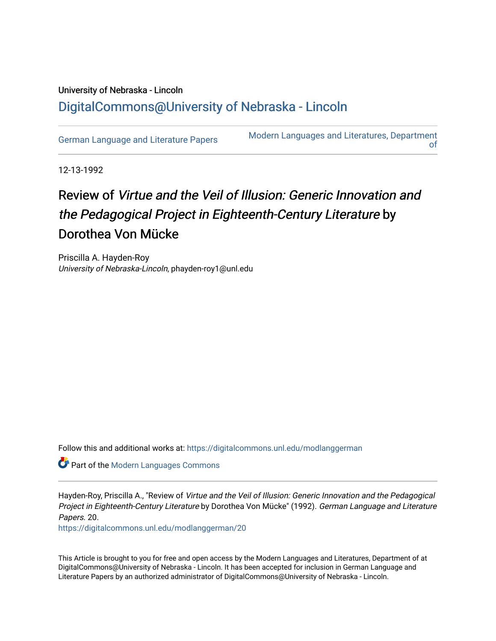## University of Nebraska - Lincoln [DigitalCommons@University of Nebraska - Lincoln](https://digitalcommons.unl.edu/)

[German Language and Literature Papers](https://digitalcommons.unl.edu/modlanggerman) Modern Languages and Literatures, Department [of](https://digitalcommons.unl.edu/modernlanguages) 

12-13-1992

## Review of Virtue and the Veil of Illusion: Generic Innovation and the Pedagogical Project in Eighteenth-Century Literature by Dorothea Von Mücke

Priscilla A. Hayden-Roy University of Nebraska-Lincoln, phayden-roy1@unl.edu

Follow this and additional works at: [https://digitalcommons.unl.edu/modlanggerman](https://digitalcommons.unl.edu/modlanggerman?utm_source=digitalcommons.unl.edu%2Fmodlanggerman%2F20&utm_medium=PDF&utm_campaign=PDFCoverPages) 

**Part of the Modern Languages Commons** 

Hayden-Roy, Priscilla A., "Review of Virtue and the Veil of Illusion: Generic Innovation and the Pedagogical Project in Eighteenth-Century Literature by Dorothea Von Mücke" (1992). German Language and Literature Papers. 20.

[https://digitalcommons.unl.edu/modlanggerman/20](https://digitalcommons.unl.edu/modlanggerman/20?utm_source=digitalcommons.unl.edu%2Fmodlanggerman%2F20&utm_medium=PDF&utm_campaign=PDFCoverPages)

This Article is brought to you for free and open access by the Modern Languages and Literatures, Department of at DigitalCommons@University of Nebraska - Lincoln. It has been accepted for inclusion in German Language and Literature Papers by an authorized administrator of DigitalCommons@University of Nebraska - Lincoln.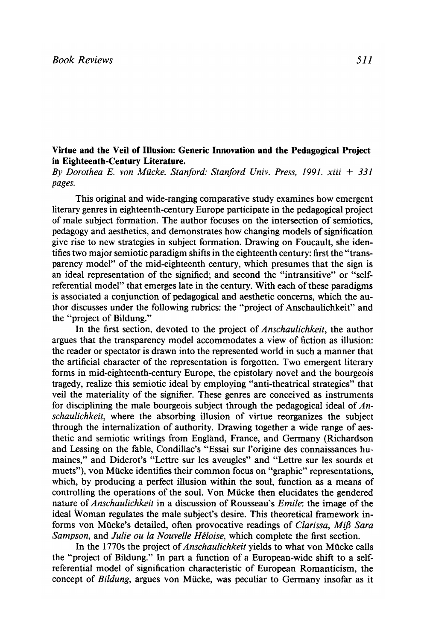**Virtue and the Veil of Illusion: Generic Innovation and the Pedagogical Project in Eighteenth-Century Literature.** 

**By** Dorothea E. von Mucke. Stanford: Stanford Univ. Press, 1991. xiii + <sup>331</sup> pages.

This original and wide-ranging comparative study examines how emergent literary genres in eighteenth-century Europe participate in the pedagogical project of male subject formation. The author focuses on the intersection of semiotics, pedagogy and aesthetics, and demonstrates how changing models of signification give rise to new strategies in subject formation. Drawing on Foucault, she identifies two major semiotic paradigm shifts in the eighteenth century: first the "transparency model" of the mid-eighteenth century, which presumes that the sign is an ideal representation of the signified; and second the "intransitive" or "selfreferential model" that emerges late in the century. With each of these paradigms is associated a conjunction of pedagogical and aesthetic concerns, which the author discusses under the following rubrics: the "project of Anschaulichkeit" and the "project of Bildung."

In the first section, devoted to the project of *Anschaulichkeit*, the author argues that the transparency model accommodates a view of fiction as illusion: the reader or spectator is drawn into the represented world in such a manner that the artificial character of the representation is forgotten. Two emergent literary forms in mid-eighteenth-century Europe, the epistolary novel and the bourgeois tragedy, realize this semiotic ideal by employing "anti-theatrical strategies" that veil the materiality of the signifier. These genres are conceived as instruments for disciplining the male bourgeois subject through the pedagogical ideal of  $An$ schaulichkeit, where the absorbing illusion of virtue reorganizes the subject through the internalization of authority. Drawing together a wide range of aesthetic and semiotic writings from England, France, and Germany (Richardson and Lessing on the fable, Condillac's "Essai sur l'origine des connaissances humaines," and Diderot's "Lettre sur les aveugles" and "Lettre sur les sourds et muets"), von Mucke identifies their common focus on "graphic" representations, which, by producing a perfect illusion within the soul, function as a means of controlling the operations of the soul. Von Mucke then elucidates the gendered nature of Anschaulichkeit in a discussion of Rousseau's Emile: the image of the ideal woman regulates the male subject's desire. This theoretical framework informs von Mücke's detailed, often provocative readings of Clarissa, Miß Sara Sampson, and Julie ou la Nouvelle Héloise, which complete the first section.

In the 1770s the project of Anschaulichkeit yields to what von Mücke calls the "project of Bildung." In part a function of a European-wide shift to a selfreferential model of signification characteristic of European Romanticism, the concept of Bildung, argues von Mucke, was peculiar to Germany insofar as it